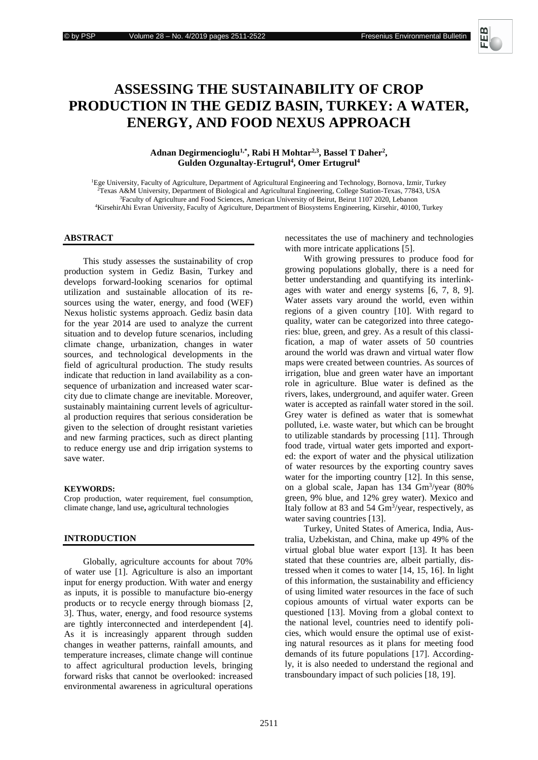

# **ASSESSING THE SUSTAINABILITY OF CROP PRODUCTION IN THE GEDIZ BASIN, TURKEY: A WATER, ENERGY, AND FOOD NEXUS APPROACH**

## **Adnan Degirmencioglu1,\* , Rabi H Mohtar2,3, Bassel T Daher<sup>2</sup> , Gulden Ozgunaltay-Ertugrul<sup>4</sup> , Omer Ertugrul<sup>4</sup>**

Ege University, Faculty of Agriculture, Department of Agricultural Engineering and Technology, Bornova, Izmir, Turkey Texas A&M University, Department of Biological and Agricultural Engineering, College Station-Texas, 77843, USA <sup>3</sup>Faculty of Agriculture and Food Sciences, American University of Beirut, Beirut 1107 2020, Lebanon KirsehirAhi Evran University, Faculty of Agriculture, Department of Biosystems Engineering, Kirsehir, 40100, Turkey

#### **ABSTRACT**

This study assesses the sustainability of crop production system in Gediz Basin, Turkey and develops forward-looking scenarios for optimal utilization and sustainable allocation of its resources using the water, energy, and food (WEF) Nexus holistic systems approach. Gediz basin data for the year 2014 are used to analyze the current situation and to develop future scenarios, including climate change, urbanization, changes in water sources, and technological developments in the field of agricultural production. The study results indicate that reduction in land availability as a consequence of urbanization and increased water scarcity due to climate change are inevitable. Moreover, sustainably maintaining current levels of agricultural production requires that serious consideration be given to the selection of drought resistant varieties and new farming practices, such as direct planting to reduce energy use and drip irrigation systems to save water.

#### **KEYWORDS:**

Crop production, water requirement, fuel consumption, climate change, land use**,** agricultural technologies

#### **INTRODUCTION**

Globally, agriculture accounts for about 70% of water use [1]. Agriculture is also an important input for energy production. With water and energy as inputs, it is possible to manufacture bio-energy products or to recycle energy through biomass [2, 3]. Thus, water, energy, and food resource systems are tightly interconnected and interdependent [4]. As it is increasingly apparent through sudden changes in weather patterns, rainfall amounts, and temperature increases, climate change will continue to affect agricultural production levels, bringing forward risks that cannot be overlooked: increased environmental awareness in agricultural operations

necessitates the use of machinery and technologies with more intricate applications [5].

With growing pressures to produce food for growing populations globally, there is a need for better understanding and quantifying its interlinkages with water and energy systems [6, 7, 8, 9]. Water assets vary around the world, even within regions of a given country [10]. With regard to quality, water can be categorized into three categories: blue, green, and grey. As a result of this classification, a map of water assets of 50 countries around the world was drawn and virtual water flow maps were created between countries. As sources of irrigation, blue and green water have an important role in agriculture. Blue water is defined as the rivers, lakes, underground, and aquifer water. Green water is accepted as rainfall water stored in the soil. Grey water is defined as water that is somewhat polluted, i.e. waste water, but which can be brought to utilizable standards by processing [11]. Through food trade, virtual water gets imported and exported: the export of water and the physical utilization of water resources by the exporting country saves water for the importing country [12]. In this sense, on a global scale, Japan has 134 Gm<sup>3</sup> /year (80% green, 9% blue, and 12% grey water). Mexico and Italy follow at 83 and 54  $\text{Gm}^3/\text{year}$ , respectively, as water saving countries [13].

Turkey, United States of America, India, Australia, Uzbekistan, and China, make up 49% of the virtual global blue water export [13]. It has been stated that these countries are, albeit partially, distressed when it comes to water [14, 15, 16]. In light of this information, the sustainability and efficiency of using limited water resources in the face of such copious amounts of virtual water exports can be questioned [13]. Moving from a global context to the national level, countries need to identify policies, which would ensure the optimal use of existing natural resources as it plans for meeting food demands of its future populations [17]. Accordingly, it is also needed to understand the regional and transboundary impact of such policies [18, 19].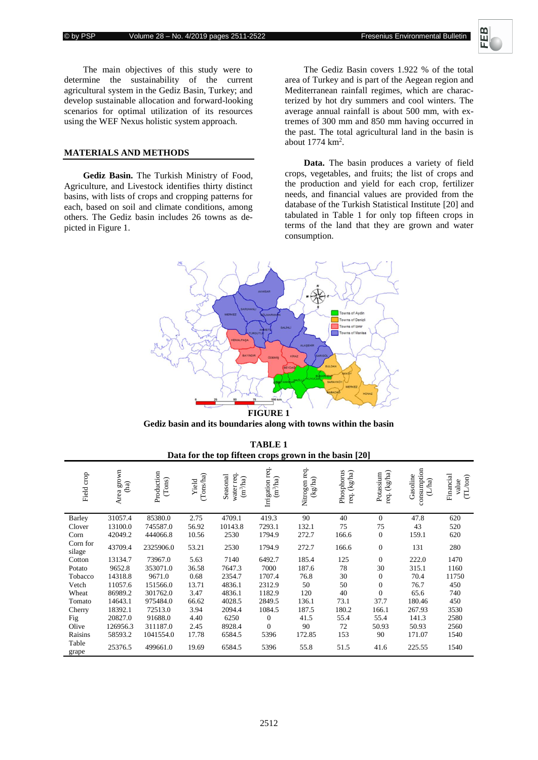

The main objectives of this study were to determine the sustainability of the current agricultural system in the Gediz Basin, Turkey; and develop sustainable allocation and forward-looking scenarios for optimal utilization of its resources using the WEF Nexus holistic system approach.

## **MATERIALS AND METHODS**

**Gediz Basin.** The Turkish Ministry of Food, Agriculture, and Livestock identifies thirty distinct basins, with lists of crops and cropping patterns for each, based on soil and climate conditions, among others. The Gediz basin includes 26 towns as depicted in Figure 1.

The Gediz Basin covers 1.922 % of the total area of Turkey and is part of the Aegean region and Mediterranean rainfall regimes, which are characterized by hot dry summers and cool winters. The average annual rainfall is about 500 mm, with extremes of 300 mm and 850 mm having occurred in the past. The total agricultural land in the basin is about 1774 km<sup>2</sup>.

**Data.** The basin produces a variety of field crops, vegetables, and fruits; the list of crops and the production and yield for each crop, fertilizer needs, and financial values are provided from the database of the Turkish Statistical Institute [20] and tabulated in Table 1 for only top fifteen crops in terms of the land that they are grown and water consumption.



**Gediz basin and its boundaries along with towns within the basin**

| <b>TABLE 1</b>                                         |  |  |  |  |  |  |
|--------------------------------------------------------|--|--|--|--|--|--|
| Data for the top fifteen crops grown in the basin [20] |  |  |  |  |  |  |

| Field crop         | Area grown<br>(ha) | Production<br>(Tons) | (Tons/ha)<br>Yield | Seasonal<br>water req<br>$(m^3/ha)$ | Irrigation req.<br>$(m^3/ha)$ | Nitrogen req.<br>(kg/ha) | Phosphorus<br>$\mbox{kg/ha)}$<br>reg. | req. (kg/ha)<br>Potassium | consumption<br>Gasoline<br>(L/ha) | Financial<br>(TL/ton)<br>value |
|--------------------|--------------------|----------------------|--------------------|-------------------------------------|-------------------------------|--------------------------|---------------------------------------|---------------------------|-----------------------------------|--------------------------------|
| Barley             | 31057.4            | 85380.0              | 2.75               | 4709.1                              | 419.3                         | 90                       | 40                                    | $\theta$                  | 47.8                              | 620                            |
| Clover             | 13100.0            | 745587.0             | 56.92              | 10143.8                             | 7293.1                        | 132.1                    | 75                                    | 75                        | 43                                | 520                            |
| Corn               | 42049.2            | 444066.8             | 10.56              | 2530                                | 1794.9                        | 272.7                    | 166.6                                 | $\mathbf{0}$              | 159.1                             | 620                            |
| Corn for<br>silage | 43709.4            | 2325906.0            | 53.21              | 2530                                | 1794.9                        | 272.7                    | 166.6                                 | $\mathbf{0}$              | 131                               | 280                            |
| Cotton             | 13134.7            | 73967.0              | 5.63               | 7140                                | 6492.7                        | 185.4                    | 125                                   | $\theta$                  | 222.0                             | 1470                           |
| Potato             | 9652.8             | 353071.0             | 36.58              | 7647.3                              | 7000                          | 187.6                    | 78                                    | 30                        | 315.1                             | 1160                           |
| Tobacco            | 14318.8            | 9671.0               | 0.68               | 2354.7                              | 1707.4                        | 76.8                     | 30                                    | $\boldsymbol{0}$          | 70.4                              | 11750                          |
| Vetch              | 11057.6            | 151566.0             | 13.71              | 4836.1                              | 2312.9                        | 50                       | 50                                    | $\boldsymbol{0}$          | 76.7                              | 450                            |
| Wheat              | 86989.2            | 301762.0             | 3.47               | 4836.1                              | 1182.9                        | 120                      | 40                                    | $\Omega$                  | 65.6                              | 740                            |
| Tomato             | 14643.1            | 975484.0             | 66.62              | 4028.5                              | 2849.5                        | 136.1                    | 73.1                                  | 37.7                      | 180.46                            | 450                            |
| Cherry             | 18392.1            | 72513.0              | 3.94               | 2094.4                              | 1084.5                        | 187.5                    | 180.2                                 | 166.1                     | 267.93                            | 3530                           |
| Fig                | 20827.0            | 91688.0              | 4.40               | 6250                                | $\overline{0}$                | 41.5                     | 55.4                                  | 55.4                      | 141.3                             | 2580                           |
| Olive              | 126956.3           | 311187.0             | 2.45               | 8928.4                              | $\overline{0}$                | 90                       | 72                                    | 50.93                     | 50.93                             | 2560                           |
| Raisins            | 58593.2            | 1041554.0            | 17.78              | 6584.5                              | 5396                          | 172.85                   | 153                                   | 90                        | 171.07                            | 1540                           |
| Table<br>grape     | 25376.5            | 499661.0             | 19.69              | 6584.5                              | 5396                          | 55.8                     | 51.5                                  | 41.6                      | 225.55                            | 1540                           |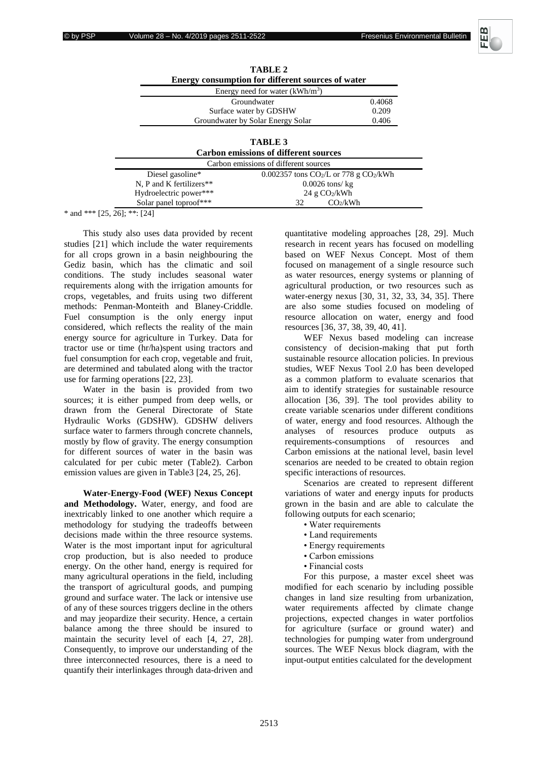

|                          | $I$ ADLE 4                                                       |        |
|--------------------------|------------------------------------------------------------------|--------|
|                          | Energy consumption for different sources of water                |        |
|                          | Energy need for water $(kWh/m3)$                                 |        |
|                          | Groundwater                                                      | 0.4068 |
|                          | Surface water by GDSHW                                           | 0.209  |
|                          | Groundwater by Solar Energy Solar                                | 0.406  |
|                          | <b>TABLE 3</b>                                                   |        |
|                          | <b>Carbon emissions of different sources</b>                     |        |
|                          | Carbon emissions of different sources                            |        |
| Diesel gasoline*         | $0.002357$ tons CO <sub>2</sub> /L or 778 g CO <sub>2</sub> /kWh |        |
| N, P and K fertilizers** | $0.0026$ tons/ kg                                                |        |

Hydroelectric power\*\*\* 24 g CO2/kWh Solar panel toproof\*\*\* 32 CO<sub>2</sub>/kWh

| TABLE 2 |  |  |  |                                                   |  |
|---------|--|--|--|---------------------------------------------------|--|
|         |  |  |  | Energy consumption for different sources of water |  |
|         |  |  |  | $10 - 10 = 71$                                    |  |

 $*$  and  $**$  [25, 26]; \*\*: [24]

This study also uses data provided by recent studies [21] which include the water requirements for all crops grown in a basin neighbouring the Gediz basin, which has the climatic and soil conditions. The study includes seasonal water requirements along with the irrigation amounts for crops, vegetables, and fruits using two different methods: Penman-Monteith and Blaney-Criddle. Fuel consumption is the only energy input considered, which reflects the reality of the main energy source for agriculture in Turkey. Data for tractor use or time (hr/ha)spent using tractors and fuel consumption for each crop, vegetable and fruit, are determined and tabulated along with the tractor use for farming operations [22, 23].

Water in the basin is provided from two sources; it is either pumped from deep wells, or drawn from the General Directorate of State Hydraulic Works (GDSHW). GDSHW delivers surface water to farmers through concrete channels, mostly by flow of gravity. The energy consumption for different sources of water in the basin was calculated for per cubic meter (Table2). Carbon emission values are given in Table3 [24, 25, 26].

**Water-Energy-Food (WEF) Nexus Concept and Methodology.** Water, energy, and food are inextricably linked to one another which require a methodology for studying the tradeoffs between decisions made within the three resource systems. Water is the most important input for agricultural crop production, but is also needed to produce energy. On the other hand, energy is required for many agricultural operations in the field, including the transport of agricultural goods, and pumping ground and surface water. The lack or intensive use of any of these sources triggers decline in the others and may jeopardize their security. Hence, a certain balance among the three should be insured to maintain the security level of each [4, 27, 28]. Consequently, to improve our understanding of the three interconnected resources, there is a need to quantify their interlinkages through data-driven and

quantitative modeling approaches [28, 29]. Much research in recent years has focused on modelling based on WEF Nexus Concept. Most of them focused on management of a single resource such as water resources, energy systems or planning of agricultural production, or two resources such as water-energy nexus [30, 31, 32, 33, 34, 35]. There are also some studies focused on modeling of resource allocation on water, energy and food resources [36, 37, 38, 39, 40, 41].

WEF Nexus based modeling can increase consistency of decision-making that put forth sustainable resource allocation policies. In previous studies, WEF Nexus Tool 2.0 has been developed as a common platform to evaluate scenarios that aim to identify strategies for sustainable resource allocation [36, 39]. The tool provides ability to create variable scenarios under different conditions of water, energy and food resources. Although the analyses of resources produce outputs as requirements-consumptions of resources and Carbon emissions at the national level, basin level scenarios are needed to be created to obtain region specific interactions of resources.

Scenarios are created to represent different variations of water and energy inputs for products grown in the basin and are able to calculate the following outputs for each scenario;

- Water requirements
- Land requirements
- Energy requirements
- Carbon emissions
- Financial costs

For this purpose, a master excel sheet was modified for each scenario by including possible changes in land size resulting from urbanization, water requirements affected by climate change projections, expected changes in water portfolios for agriculture (surface or ground water) and technologies for pumping water from underground sources. The WEF Nexus block diagram, with the input-output entities calculated for the development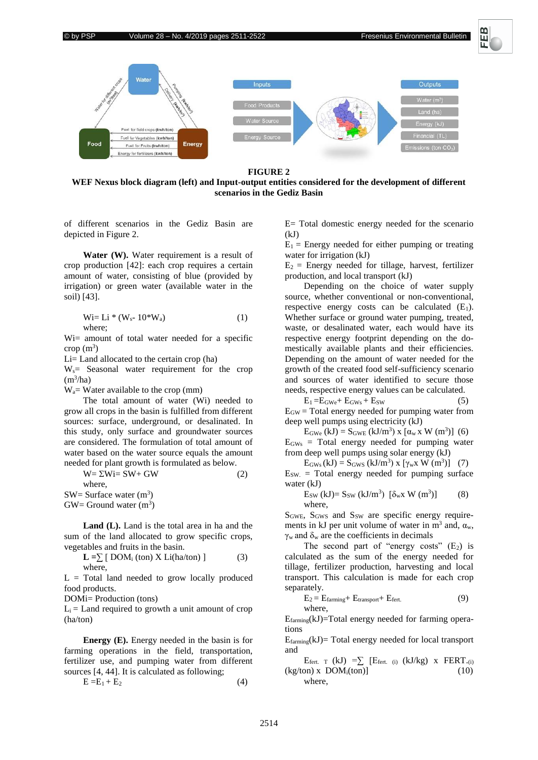



#### **FIGURE 2**

**WEF Nexus block diagram (left) and Input-output entities considered for the development of different scenarios in the Gediz Basin**

of different scenarios in the Gediz Basin are depicted in Figure 2.

**Water (W).** Water requirement is a result of crop production [42]: each crop requires a certain amount of water, consisting of blue (provided by irrigation) or green water (available water in the soil) [43].

$$
Wi=Li * (Ws-10*Wa)
$$
 (1)  
where;

Wi= amount of total water needed for a specific  $\text{crop (m}^3)$ 

Li= Land allocated to the certain crop (ha)

 $W_s$  Seasonal water requirement for the crop  $(m<sup>3</sup>/ha)$ 

 $W_a$ = Water available to the crop (mm)

The total amount of water (Wi) needed to grow all crops in the basin is fulfilled from different sources: surface, underground, or desalinated. In this study, only surface and groundwater sources are considered. The formulation of total amount of water based on the water source equals the amount needed for plant growth is formulated as below.

 $W = \Sigma W i = SW + GW$  (2) where, SW= Surface water  $(m^3)$ 

 $GW =$  Ground water  $(m^3)$ 

**Land (L).** Land is the total area in ha and the sum of the land allocated to grow specific crops, vegetables and fruits in the basin.

$$
\mathbf{L} = \sum [ \text{DOM}_i \text{ (ton)} \text{ X Li}(\text{ha/ton)} ] \tag{3}
$$
  
where,

 $L = Total$  land needed to grow locally produced food products.

DOMi= Production (tons)

 $L<sub>i</sub> =$  Land required to growth a unit amount of crop (ha/ton)

**Energy (E).** Energy needed in the basin is for farming operations in the field, transportation, fertilizer use, and pumping water from different sources [4, 44]. It is calculated as following;

$$
E = E_1 + E_2 \tag{4}
$$

E= Total domestic energy needed for the scenario  $(kJ)$ 

 $E_1$  = Energy needed for either pumping or treating water for irrigation (kJ)

 $E_2$  = Energy needed for tillage, harvest, fertilizer production, and local transport (kJ)

Depending on the choice of water supply source, whether conventional or non-conventional, respective energy costs can be calculated  $(E_1)$ . Whether surface or ground water pumping, treated, waste, or desalinated water, each would have its respective energy footprint depending on the domestically available plants and their efficiencies. Depending on the amount of water needed for the growth of the created food self-sufficiency scenario and sources of water identified to secure those needs, respective energy values can be calculated.

 $E_1 = E_{\text{GWe}} + E_{\text{GWs}} + E_{\text{SW}}$  (5)  $E_{\text{GW}}$  = Total energy needed for pumping water from deep well pumps using electricity (kJ)

 $E_{\text{GWe}} (kJ) = S_{\text{GWE}} (kJ/m^3)$  x  $[\alpha_w$  x W  $(m^3)]$  (6)  $E<sub>GWs</sub>$  = Total energy needed for pumping water from deep well pumps using solar energy (kJ)

 $E_{\text{GWs}}(kJ) = S_{\text{GWS}}(kJ/m^3)$  x  $[\gamma_w x W(m^3)]$  (7)  $E_{SW}$  = Total energy needed for pumping surface water (kJ)

$$
E_{SW} (kJ) = S_{SW} (kJ/m3) [\delta_w x W (m3)]
$$
 (8)  
where,

 $S<sub>GWE</sub>$ ,  $S<sub>GWS</sub>$  and  $S<sub>SW</sub>$  are specific energy requirements in kJ per unit volume of water in  $m^3$  and,  $\alpha_w$ ,  $\gamma_w$  and  $\delta_w$  are the coefficients in decimals

The second part of "energy costs"  $(E_2)$  is calculated as the sum of the energy needed for tillage, fertilizer production, harvesting and local transport. This calculation is made for each crop separately.

$$
E_2 = E_{\text{farming}} + E_{\text{transport}} + E_{\text{fert.}} \tag{9}
$$
  
where,

Efarming(kJ)=Total energy needed for farming operations

 $E_{\text{farming}}(kJ)$  Total energy needed for local transport and

Efert. T (kJ) =  $\sum$  [Efert. (i) (kJ/kg) x FERT.(i)  $(kg/ton)$  x  $DOM<sub>i</sub>(ton)$  (10) where,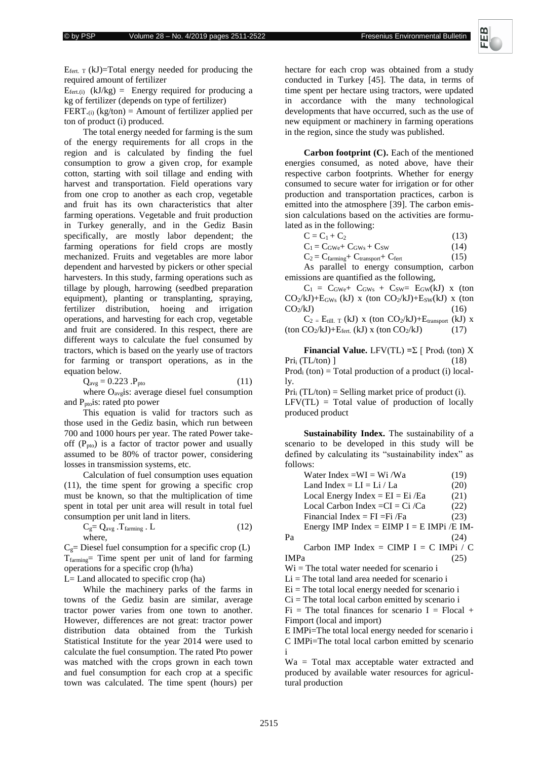

 $E_{\text{fert. T}}$  (kJ)=Total energy needed for producing the required amount of fertilizer

 $E_{\text{fert.}(i)}$  (kJ/kg) = Energy required for producing a kg of fertilizer (depends on type of fertilizer) FERT. $(i)$  (kg/ton) = Amount of fertilizer applied per ton of product (i) produced*.*

The total energy needed for farming is the sum of the energy requirements for all crops in the region and is calculated by finding the fuel consumption to grow a given crop, for example cotton, starting with soil tillage and ending with harvest and transportation. Field operations vary from one crop to another as each crop, vegetable and fruit has its own characteristics that alter farming operations. Vegetable and fruit production in Turkey generally, and in the Gediz Basin specifically, are mostly labor dependent; the farming operations for field crops are mostly mechanized. Fruits and vegetables are more labor dependent and harvested by pickers or other special harvesters. In this study, farming operations such as tillage by plough, harrowing (seedbed preparation equipment), planting or transplanting, spraying, fertilizer distribution, hoeing and irrigation operations, and harvesting for each crop, vegetable and fruit are considered. In this respect, there are different ways to calculate the fuel consumed by tractors, which is based on the yearly use of tractors for farming or transport operations, as in the equation below.

$$
Q_{\text{avg}} = 0.223 \, \text{.} P_{\text{pto}} \tag{11}
$$

where  $O_{\text{avg}}$  is: average diesel fuel consumption and  $P_{\text{pto}}$  is: rated pto power

This equation is valid for tractors such as those used in the Gediz basin, which run between 700 and 1000 hours per year. The rated Power takeoff  $(P_{pto})$  is a factor of tractor power and usually assumed to be 80% of tractor power, considering losses in transmission systems, etc.

Calculation of fuel consumption uses equation (11), the time spent for growing a specific crop must be known, so that the multiplication of time spent in total per unit area will result in total fuel consumption per unit land in liters.

$$
C_g = Q_{avg} . T_{farming} . L
$$
 (12)  
where,

 $C<sub>g</sub>=$  Diesel fuel consumption for a specific crop (L) Tfarming= Time spent per unit of land for farming operations for a specific crop (h/ha)

L= Land allocated to specific crop (ha)

While the machinery parks of the farms in towns of the Gediz basin are similar, average tractor power varies from one town to another. However, differences are not great: tractor power distribution data obtained from the Turkish Statistical Institute for the year 2014 were used to calculate the fuel consumption. The rated Pto power was matched with the crops grown in each town and fuel consumption for each crop at a specific town was calculated. The time spent (hours) per hectare for each crop was obtained from a study conducted in Turkey [45]. The data, in terms of time spent per hectare using tractors, were updated in accordance with the many technological developments that have occurred, such as the use of new equipment or machinery in farming operations in the region, since the study was published.

**Carbon footprint (C).** Each of the mentioned energies consumed, as noted above, have their respective carbon footprints. Whether for energy consumed to secure water for irrigation or for other production and transportation practices, carbon is emitted into the atmosphere [39]. The carbon emission calculations based on the activities are formulated as in the following:

| $C = C_1 + C_2$                                | (13) |
|------------------------------------------------|------|
| $C_1 = C_{\rm GWe} + C_{\rm GWs} + C_{\rm SW}$ | (14) |

$$
C_2 = C_{\text{farming}} + C_{\text{transport}} + C_{\text{fert}} \tag{15}
$$

As parallel to energy consumption, carbon emissions are quantified as the following,

 $C_1 = C_{\text{GWe}} + C_{\text{GWs}} + C_{\text{SW}} = E_{\text{GW}}(kJ)$  x (ton  $CO_2/kJ$ )+ $E_{GWS}$  (kJ) x (ton  $CO_2/kJ$ )+ $E_{SW}(kJ)$  x (ton  $CO<sub>2</sub>/kJ$  (16)

 $C_2 = E_{till. T}$  (kJ) x (ton  $CO_2/kJ$ )+ $E_{transport}$  (kJ) x  $(\text{ton CO}_2/kJ)+E_{\text{fert.}}$  (kJ) x  $(\text{ton CO}_2/kJ)$  (17)

**Financial Value.** LFV(TL)  $=\sum \int$  Prod<sub>i</sub> (ton) X  $\Pr i_i \left( \text{TL/ton} \right)$  [18)  $Prod<sub>i</sub> (ton) = Total production of a product (i) local$ ly.

 $Pri_i (TL/ton) =$  Selling market price of product (i).  $LFV(TL) = Total value of production of locally$ 

produced product

**Sustainability Index.** The sustainability of a scenario to be developed in this study will be defined by calculating its "sustainability index" as follows:

| Water Index = WI = Wi / Wa                  | (19) |
|---------------------------------------------|------|
| Land Index = $LI = Li / La$                 | (20) |
| Local Energy Index = $EI = Ei$ /Ea          | (21) |
| Local Carbon Index = $CI = Ci$ /Ca          | (22) |
| Financial Index = $FI = Fi$ /Fa             | (23) |
| Energy IMP Index = EIMP $I = E$ IMPi /E IM- |      |
| Pа                                          | (24) |
| Carbon IMP Index = CIMP I = C IMPi / C      |      |
| IMP <sub>a</sub>                            |      |

 $Wi = The total water needed for scenario i$ 

 $Li = The total land area needed for scenario i$ 

 $Ei$  = The total local energy needed for scenario i

 $Ci$  = The total local carbon emitted by scenario i

 $Fi = The total finances for scenario I = Flocal +$ Fimport (local and import)

E IMPi=The total local energy needed for scenario i C IMPi=The total local carbon emitted by scenario i

Wa = Total max acceptable water extracted and produced by available water resources for agricultural production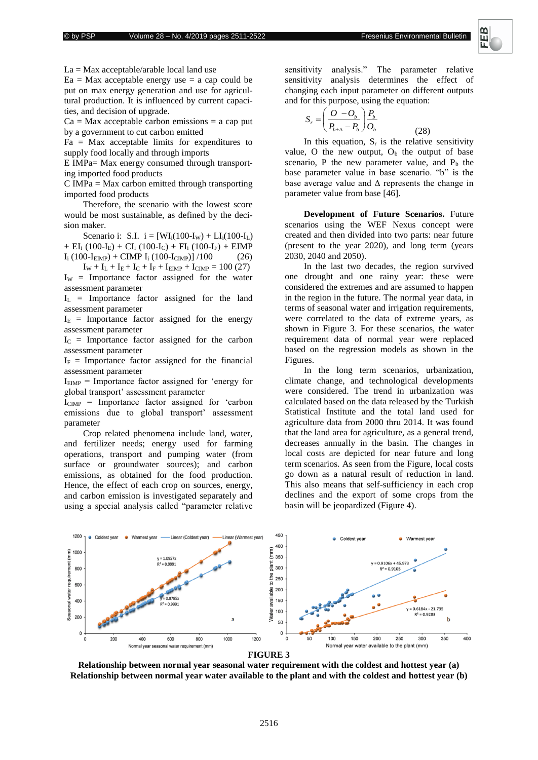(28)



La = Max acceptable/arable local land use

 $Ea = Max$  acceptable energy use  $= a cap$  could be put on max energy generation and use for agricultural production. It is influenced by current capacities, and decision of upgrade.

 $Ca = Max$  acceptable carbon emissions  $= a cap$  put by a government to cut carbon emitted

 $Fa = Max$  acceptable limits for expenditures to supply food locally and through imports

E IMPa= Max energy consumed through transporting imported food products

 $C$  IMPa = Max carbon emitted through transporting imported food products

Therefore, the scenario with the lowest score would be most sustainable, as defined by the decision maker.

Scenario i: S.I.  $i = [WI_i(100-I_W) + LI_i(100-I_L)$ + EI<sub>i</sub> (100-I<sub>E</sub>) + CI<sub>i</sub> (100-I<sub>C</sub>) + FI<sub>i</sub> (100-I<sub>F</sub>) + EIMP  $I_i (100-I<sub>EMP</sub>) + CIMP I_i (100-I<sub>CIMP</sub>)]/100$  (26)

 $I_W + I_L + I_E + I_C + I_F + I_{EMP} + I_{CMP} = 100 (27)$  $I_W$  = Importance factor assigned for the water assessment parameter

 $I_L$  = Importance factor assigned for the land assessment parameter

 $I<sub>E</sub>$  = Importance factor assigned for the energy assessment parameter

 $I_c$  = Importance factor assigned for the carbon assessment parameter

 $I_F$  = Importance factor assigned for the financial assessment parameter

 $I_{EIMP}$  = Importance factor assigned for 'energy for global transport' assessment parameter

 $I_{CIMP}$  = Importance factor assigned for 'carbon emissions due to global transport' assessment parameter

Crop related phenomena include land, water, and fertilizer needs; energy used for farming operations, transport and pumping water (from surface or groundwater sources); and carbon emissions, as obtained for the food production. Hence, the effect of each crop on sources, energy, and carbon emission is investigated separately and using a special analysis called "parameter relative

sensitivity analysis." The parameter relative sensitivity analysis determines the effect of changing each input parameter on different outputs and for this purpose, using the equation:

$$
S_r = \left(\frac{O - O_b}{P_{b \pm \Delta} - P_b}\right) \frac{P_b}{O_b}
$$

In this equation,  $S_r$  is the relative sensitivity value, O the new output,  $O_b$  the output of base scenario, P the new parameter value, and  $P_b$  the base parameter value in base scenario. "b" is the base average value and  $\Delta$  represents the change in parameter value from base [46].

**Development of Future Scenarios.** Future scenarios using the WEF Nexus concept were created and then divided into two parts: near future (present to the year 2020), and long term (years 2030, 2040 and 2050).

In the last two decades, the region survived one drought and one rainy year: these were considered the extremes and are assumed to happen in the region in the future. The normal year data, in terms of seasonal water and irrigation requirements, were correlated to the data of extreme years, as shown in Figure 3. For these scenarios, the water requirement data of normal year were replaced based on the regression models as shown in the Figures.

In the long term scenarios, urbanization, climate change, and technological developments were considered. The trend in urbanization was calculated based on the data released by the Turkish Statistical Institute and the total land used for agriculture data from 2000 thru 2014. It was found that the land area for agriculture, as a general trend, decreases annually in the basin. The changes in local costs are depicted for near future and long term scenarios. As seen from the Figure, local costs go down as a natural result of reduction in land. This also means that self-sufficiency in each crop declines and the export of some crops from the basin will be jeopardized (Figure 4).



**Relationship between normal year seasonal water requirement with the coldest and hottest year (a) Relationship between normal year water available to the plant and with the coldest and hottest year (b)**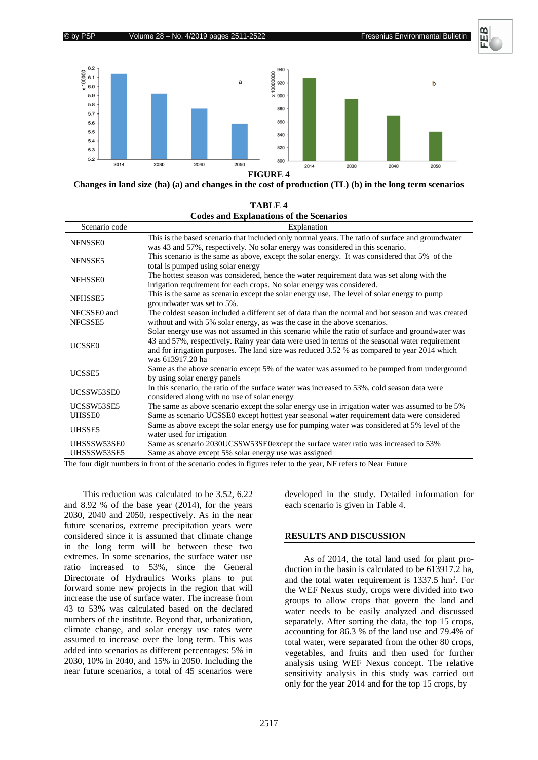



**Changes in land size (ha) (a) and changes in the cost of production (TL) (b) in the long term scenarios**

| <b>TABLE 4</b>                                 |
|------------------------------------------------|
| <b>Codes and Explanations of the Scenarios</b> |

| Scenario code  | Explanation                                                                                                                                                                                    |
|----------------|------------------------------------------------------------------------------------------------------------------------------------------------------------------------------------------------|
| NFNSSE0        | This is the based scenario that included only normal years. The ratio of surface and groundwater                                                                                               |
|                | was 43 and 57%, respectively. No solar energy was considered in this scenario.                                                                                                                 |
| NFNSSE5        | This scenario is the same as above, except the solar energy. It was considered that 5% of the                                                                                                  |
|                | total is pumped using solar energy                                                                                                                                                             |
| <b>NFHSSE0</b> | The hottest season was considered, hence the water requirement data was set along with the                                                                                                     |
|                | irrigation requirement for each crops. No solar energy was considered.                                                                                                                         |
| NFHSSE5        | This is the same as scenario except the solar energy use. The level of solar energy to pump<br>groundwater was set to 5%.                                                                      |
| NFCSSE0 and    | The coldest season included a different set of data than the normal and hot season and was created                                                                                             |
| NFCSSE5        | without and with 5% solar energy, as was the case in the above scenarios.                                                                                                                      |
|                | Solar energy use was not assumed in this scenario while the ratio of surface and groundwater was                                                                                               |
| <b>UCSSE0</b>  | 43 and 57%, respectively. Rainy year data were used in terms of the seasonal water requirement<br>and for irrigation purposes. The land size was reduced 3.52 % as compared to year 2014 which |
|                | was 613917.20 ha                                                                                                                                                                               |
| UCSSE5         | Same as the above scenario except 5% of the water was assumed to be pumped from underground                                                                                                    |
|                | by using solar energy panels                                                                                                                                                                   |
| UCSSW53SE0     | In this scenario, the ratio of the surface water was increased to 53%, cold season data were<br>considered along with no use of solar energy                                                   |
| UCSSW53SE5     | The same as above scenario except the solar energy use in irrigation water was assumed to be 5%                                                                                                |
| <b>UHSSE0</b>  | Same as scenario UCSSE0 except hottest year seasonal water requirement data were considered                                                                                                    |
| UHSSE5         | Same as above except the solar energy use for pumping water was considered at 5% level of the                                                                                                  |
|                | water used for irrigation                                                                                                                                                                      |
| UHSSSW53SE0    | Same as scenario 2030UCSSW53SE0except the surface water ratio was increased to 53%                                                                                                             |
| UHSSSW53SE5    | Same as above except 5% solar energy use was assigned                                                                                                                                          |

The four digit numbers in front of the scenario codes in figures refer to the year, NF refers to Near Future

This reduction was calculated to be 3.52, 6.22 and 8.92 % of the base year (2014), for the years 2030, 2040 and 2050, respectively. As in the near future scenarios, extreme precipitation years were considered since it is assumed that climate change in the long term will be between these two extremes. In some scenarios, the surface water use ratio increased to 53%, since the General Directorate of Hydraulics Works plans to put forward some new projects in the region that will increase the use of surface water. The increase from 43 to 53% was calculated based on the declared numbers of the institute. Beyond that, urbanization, climate change, and solar energy use rates were assumed to increase over the long term. This was added into scenarios as different percentages: 5% in 2030, 10% in 2040, and 15% in 2050. Including the near future scenarios, a total of 45 scenarios were developed in the study. Detailed information for each scenario is given in Table 4.

#### **RESULTS AND DISCUSSION**

As of 2014, the total land used for plant production in the basin is calculated to be 613917.2 ha, and the total water requirement is  $1337.5$  hm<sup>3</sup>. For the WEF Nexus study, crops were divided into two groups to allow crops that govern the land and water needs to be easily analyzed and discussed separately. After sorting the data, the top 15 crops, accounting for 86.3 % of the land use and 79.4% of total water, were separated from the other 80 crops, vegetables, and fruits and then used for further analysis using WEF Nexus concept. The relative sensitivity analysis in this study was carried out only for the year 2014 and for the top 15 crops, by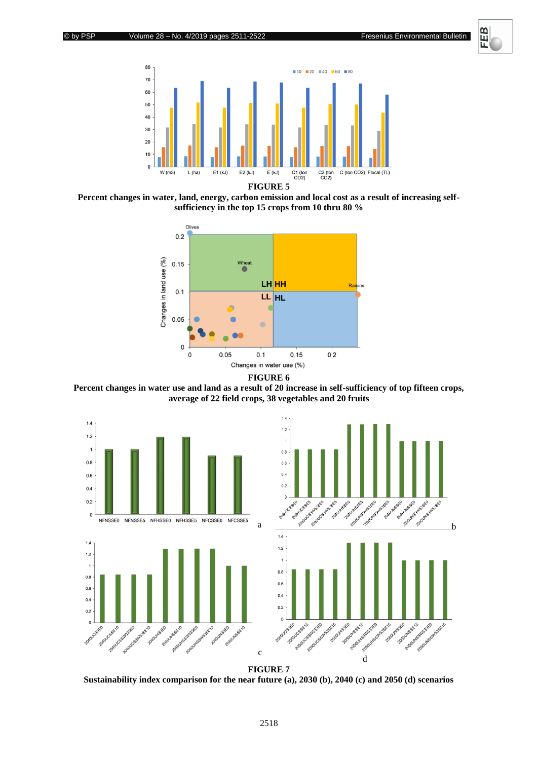



**Percent changes in water, land, energy, carbon emission and local cost as a result of increasing selfsufficiency in the top 15 crops from 10 thru 80 %**



**FIGURE 6**

**Percent changes in water use and land as a result of 20 increase in self-sufficiency of top fifteen crops, average of 22 field crops, 38 vegetables and 20 fruits**



**Sustainability index comparison for the near future (a), 2030 (b), 2040 (c) and 2050 (d) scenarios**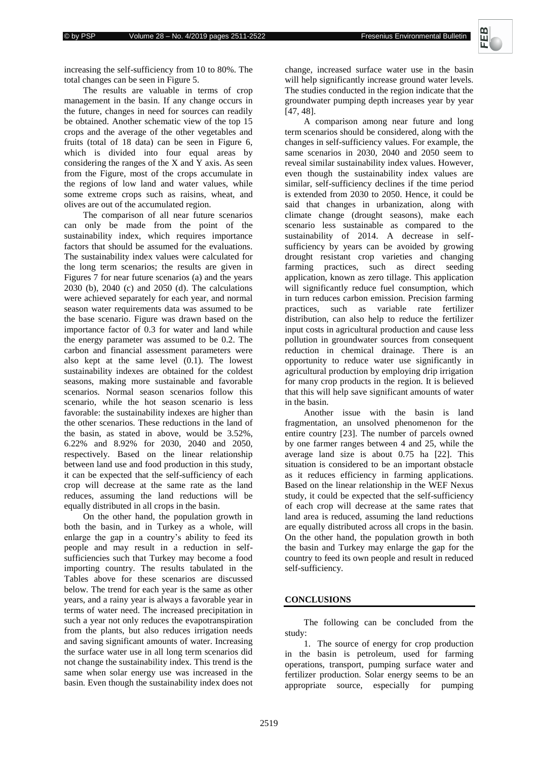

increasing the self-sufficiency from 10 to 80%. The total changes can be seen in Figure 5.

The results are valuable in terms of crop management in the basin. If any change occurs in the future, changes in need for sources can readily be obtained. Another schematic view of the top 15 crops and the average of the other vegetables and fruits (total of 18 data) can be seen in Figure 6, which is divided into four equal areas by considering the ranges of the X and Y axis. As seen from the Figure, most of the crops accumulate in the regions of low land and water values, while some extreme crops such as raisins, wheat, and olives are out of the accumulated region.

The comparison of all near future scenarios can only be made from the point of the sustainability index, which requires importance factors that should be assumed for the evaluations. The sustainability index values were calculated for the long term scenarios; the results are given in Figures 7 for near future scenarios (a) and the years 2030 (b), 2040 (c) and 2050 (d). The calculations were achieved separately for each year, and normal season water requirements data was assumed to be the base scenario. Figure was drawn based on the importance factor of 0.3 for water and land while the energy parameter was assumed to be 0.2. The carbon and financial assessment parameters were also kept at the same level (0.1). The lowest sustainability indexes are obtained for the coldest seasons, making more sustainable and favorable scenarios. Normal season scenarios follow this scenario, while the hot season scenario is less favorable: the sustainability indexes are higher than the other scenarios. These reductions in the land of the basin, as stated in above, would be 3.52%, 6.22% and 8.92% for 2030, 2040 and 2050, respectively. Based on the linear relationship between land use and food production in this study, it can be expected that the self-sufficiency of each crop will decrease at the same rate as the land reduces, assuming the land reductions will be equally distributed in all crops in the basin.

On the other hand, the population growth in both the basin, and in Turkey as a whole, will enlarge the gap in a country's ability to feed its people and may result in a reduction in selfsufficiencies such that Turkey may become a food importing country. The results tabulated in the Tables above for these scenarios are discussed below. The trend for each year is the same as other years, and a rainy year is always a favorable year in terms of water need. The increased precipitation in such a year not only reduces the evapotranspiration from the plants, but also reduces irrigation needs and saving significant amounts of water. Increasing the surface water use in all long term scenarios did not change the sustainability index. This trend is the same when solar energy use was increased in the basin. Even though the sustainability index does not

change, increased surface water use in the basin will help significantly increase ground water levels. The studies conducted in the region indicate that the groundwater pumping depth increases year by year [47, 48].

A comparison among near future and long term scenarios should be considered, along with the changes in self-sufficiency values. For example, the same scenarios in 2030, 2040 and 2050 seem to reveal similar sustainability index values. However, even though the sustainability index values are similar, self-sufficiency declines if the time period is extended from 2030 to 2050. Hence, it could be said that changes in urbanization, along with climate change (drought seasons), make each scenario less sustainable as compared to the sustainability of 2014. A decrease in selfsufficiency by years can be avoided by growing drought resistant crop varieties and changing farming practices, such as direct seeding application, known as zero tillage. This application will significantly reduce fuel consumption, which in turn reduces carbon emission. Precision farming practices, such as variable rate fertilizer distribution, can also help to reduce the fertilizer input costs in agricultural production and cause less pollution in groundwater sources from consequent reduction in chemical drainage. There is an opportunity to reduce water use significantly in agricultural production by employing drip irrigation for many crop products in the region. It is believed that this will help save significant amounts of water in the basin.

Another issue with the basin is land fragmentation, an unsolved phenomenon for the entire country [23]. The number of parcels owned by one farmer ranges between 4 and 25, while the average land size is about 0.75 ha [22]. This situation is considered to be an important obstacle as it reduces efficiency in farming applications. Based on the linear relationship in the WEF Nexus study, it could be expected that the self-sufficiency of each crop will decrease at the same rates that land area is reduced, assuming the land reductions are equally distributed across all crops in the basin. On the other hand, the population growth in both the basin and Turkey may enlarge the gap for the country to feed its own people and result in reduced self-sufficiency.

#### **CONCLUSIONS**

The following can be concluded from the study:

1. The source of energy for crop production in the basin is petroleum, used for farming operations, transport, pumping surface water and fertilizer production. Solar energy seems to be an appropriate source, especially for pumping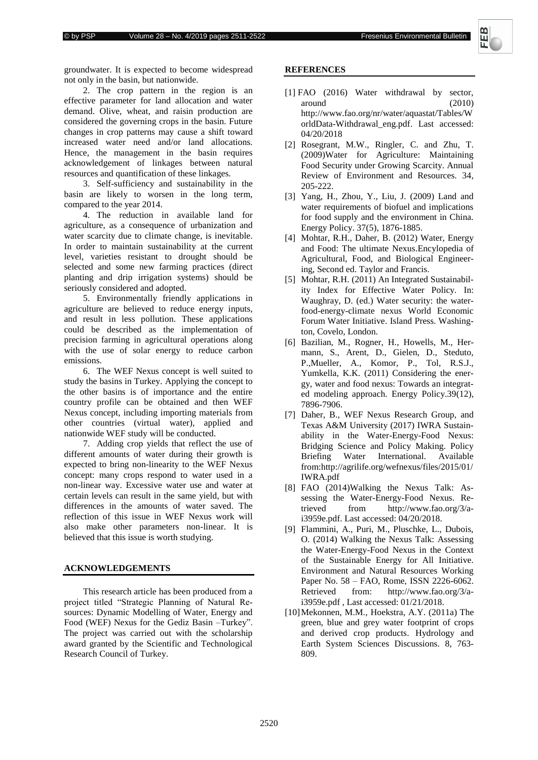

groundwater. It is expected to become widespread not only in the basin, but nationwide.

2. The crop pattern in the region is an effective parameter for land allocation and water demand. Olive, wheat, and raisin production are considered the governing crops in the basin. Future changes in crop patterns may cause a shift toward increased water need and/or land allocations. Hence, the management in the basin requires acknowledgement of linkages between natural resources and quantification of these linkages.

3. Self-sufficiency and sustainability in the basin are likely to worsen in the long term, compared to the year 2014.

4. The reduction in available land for agriculture, as a consequence of urbanization and water scarcity due to climate change, is inevitable. In order to maintain sustainability at the current level, varieties resistant to drought should be selected and some new farming practices (direct planting and drip irrigation systems) should be seriously considered and adopted.

5. Environmentally friendly applications in agriculture are believed to reduce energy inputs, and result in less pollution. These applications could be described as the implementation of precision farming in agricultural operations along with the use of solar energy to reduce carbon emissions.

6. The WEF Nexus concept is well suited to study the basins in Turkey. Applying the concept to the other basins is of importance and the entire country profile can be obtained and then WEF Nexus concept, including importing materials from other countries (virtual water), applied and nationwide WEF study will be conducted.

7. Adding crop yields that reflect the use of different amounts of water during their growth is expected to bring non-linearity to the WEF Nexus concept: many crops respond to water used in a non-linear way. Excessive water use and water at certain levels can result in the same yield, but with differences in the amounts of water saved. The reflection of this issue in WEF Nexus work will also make other parameters non-linear. It is believed that this issue is worth studying.

### **ACKNOWLEDGEMENTS**

This research article has been produced from a project titled "Strategic Planning of Natural Resources: Dynamic Modelling of Water, Energy and Food (WEF) Nexus for the Gediz Basin –Turkey". The project was carried out with the scholarship award granted by the Scientific and Technological Research Council of Turkey.

#### **REFERENCES**

- [1] FAO (2016) Water withdrawal by sector, around (2010) [http://www.fao.org/nr/water/aquastat/Tables/W](http://www.fao.org/nr/water/aquastat/tables/WorldData-Withdrawal_eng.pdf) [orldData-Withdrawal\\_eng.pdf.](http://www.fao.org/nr/water/aquastat/tables/WorldData-Withdrawal_eng.pdf) Last accessed: 04/20/2018
- [2] Rosegrant, M.W., Ringler, C. and Zhu, T. (2009)Water for Agriculture: Maintaining Food Security under Growing Scarcity. Annual Review of Environment and Resources. 34, 205-222.
- [3] Yang, H., Zhou, Y., Liu, J. (2009) Land and water requirements of biofuel and implications for food supply and the environment in China. Energy Policy. 37(5), 1876-1885.
- [4] Mohtar, R.H., Daher, B. (2012) Water, Energy and Food: The ultimate Nexus.Encylopedia of Agricultural, Food, and Biological Engineering, Second ed. Taylor and Francis.
- [5] Mohtar, R.H. (2011) An Integrated Sustainability Index for Effective Water Policy. In: Waughray, D. (ed.) Water security: the waterfood-energy-climate nexus World Economic Forum Water Initiative. Island Press. Washington, Covelo, London.
- [6] Bazilian, M., Rogner, H., Howells, M., Hermann, S., Arent, D., Gielen, D., Steduto, P.,Mueller, A., Komor, P., Tol, R.S.J., Yumkella, K.K. (2011) Considering the energy, water and food nexus: Towards an integrated modeling approach. Energy Policy.39(12), 7896-7906.
- [7] Daher, B., WEF Nexus Research Group, and Texas A&M University (2017) IWRA Sustainability in the Water-Energy-Food Nexus: Bridging Science and Policy Making. Policy Briefing Water International. Available from[:http://agrilife.org/wefnexus/files/2015/01/](http://agrilife.org/wefnexus/files/2015/01/IWRA.pdf) [IWRA.pdf](http://agrilife.org/wefnexus/files/2015/01/IWRA.pdf)
- [8] FAO (2014)Walking the Nexus Talk: Assessing the Water-Energy-Food Nexus. Retrieved from [http://www.fao.org/3/a](http://www.fao.org/3/a-i3959e.pdf)[i3959e.pdf.](http://www.fao.org/3/a-i3959e.pdf) Last accessed: 04/20/2018.
- [9] Flammini, A., Puri, M., Pluschke, L., Dubois, O. (2014) Walking the Nexus Talk: Assessing the Water-Energy-Food Nexus in the Context of the Sustainable Energy for All Initiative. Environment and Natural Resources Working Paper No. 58 – FAO, Rome, ISSN 2226-6062. Retrieved from: [http://www.fao.org/3/a](http://www.fao.org/3/a-i3959e.pdf)[i3959e.pdf](http://www.fao.org/3/a-i3959e.pdf) , Last accessed: 01/21/2018.
- [10]Mekonnen, M.M., Hoekstra, A.Y. (2011a) The green, blue and grey water footprint of crops and derived crop products. Hydrology and Earth System Sciences Discussions. 8, 763- 809.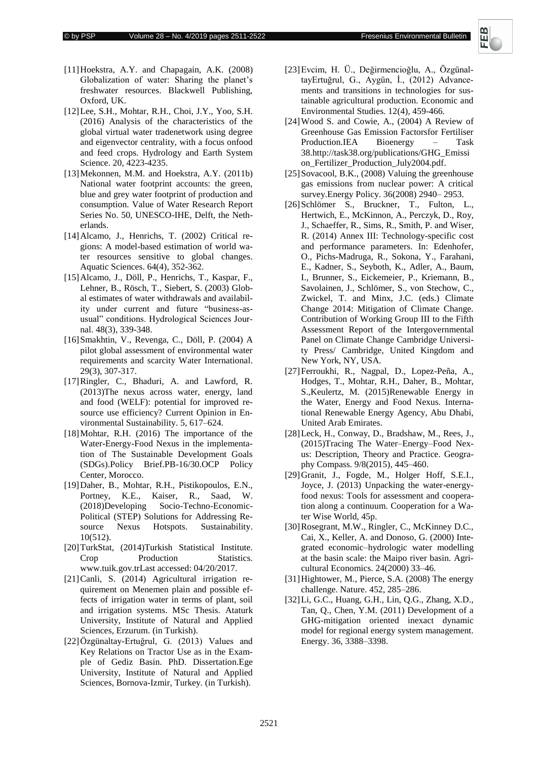

- [11] Hoekstra, A.Y. and Chapagain, A.K. (2008) Globalization of water: Sharing the planet's freshwater resources. Blackwell Publishing, Oxford, UK.
- [12]Lee, S.H., Mohtar, R.H., Choi, J.Y., Yoo, S.H. (2016) Analysis of the characteristics of the global virtual water tradenetwork using degree and eigenvector centrality, with a focus onfood and feed crops. Hydrology and Earth System Science. 20, 4223-4235.
- [13]Mekonnen, M.M. and Hoekstra, A.Y. (2011b) National water footprint accounts: the green, blue and grey water footprint of production and consumption. Value of Water Research Report Series No. 50, UNESCO-IHE, Delft, the Netherlands.
- [14]Alcamo, J., Henrichs, T. (2002) Critical regions: A model-based estimation of world water resources sensitive to global changes. Aquatic Sciences. 64(4), 352-362.
- [15]Alcamo, J., Döll, P., Henrichs, T., Kaspar, F., Lehner, B., Rösch, T., Siebert, S. (2003) Global estimates of water withdrawals and availability under current and future "business-asusual" conditions. Hydrological Sciences Journal. 48(3), 339-348.
- [16]Smakhtin, V., Revenga, C., Döll, P. (2004) A pilot global assessment of environmental water requirements and scarcity Water International. 29(3), 307-317.
- [17]Ringler, C., Bhaduri, A. and Lawford, R. (2013)The nexus across water, energy, land and food (WELF): potential for improved resource use efficiency? Current Opinion in Environmental Sustainability. 5, 617–624.
- [18]Mohtar, R.H. (2016) The importance of the Water-Energy-Food Nexus in the implementation of The Sustainable Development Goals (SDGs).Policy Brief.PB-16/30.OCP Policy Center, Morocco.
- [19]Daher, B., Mohtar, R.H., Pistikopoulos, E.N., Portney, K.E., Kaiser, R., Saad, W. (2018)Developing Socio-Techno-Economic-Political (STEP) Solutions for Addressing Resource Nexus Hotspots. Sustainability. 10(512).
- [20]TurkStat, (2014)Turkish Statistical Institute. Crop Production Statistics. [www.tuik.gov.trL](http://www.tuik.gov.tr/)ast accessed: 04/20/2017.
- [21]Canli, S. (2014) Agricultural irrigation requirement on Menemen plain and possible effects of irrigation water in terms of plant, soil and irrigation systems. MSc Thesis. Ataturk University, Institute of Natural and Applied Sciences, Erzurum. (in Turkish).
- [22]Özgünaltay-Ertuğrul, G. (2013) Values and Key Relations on Tractor Use as in the Example of Gediz Basin. PhD. Dissertation.Ege University, Institute of Natural and Applied Sciences, Bornova-Izmir, Turkey. (in Turkish).
- [23]Evcim, H. Ü., Değirmencioğlu, A., ÖzgünaltayErtuğrul, G., Aygün, İ., (2012) Advancements and transitions in technologies for sustainable agricultural production. Economic and Environmental Studies. 12(4), 459-466.
- [24]Wood S. and Cowie, A., (2004) A Review of Greenhouse Gas Emission Factorsfor Fertiliser Production.IEA Bioenergy – Task 3[8.http://task38.org/publications/GHG\\_Emissi](http://task38.org/publications/GHG_Emission_Fertilizer_Production_July2004.pdf) [on\\_Fertilizer\\_Production\\_July2004.pdf.](http://task38.org/publications/GHG_Emission_Fertilizer_Production_July2004.pdf)
- [25] Sovacool, B.K., (2008) Valuing the greenhouse gas emissions from nuclear power: A critical survey.Energy Policy. 36(2008) 2940– 2953.
- [26]Schlömer S., Bruckner, T., Fulton, L., Hertwich, E., McKinnon, A., Perczyk, D., Roy, J., Schaeffer, R., Sims, R., Smith, P. and Wiser, R. (2014) Annex III: Technology-specific cost and performance parameters. In: Edenhofer, O., Pichs-Madruga, R., Sokona, Y., Farahani, E., Kadner, S., Seyboth, K., Adler, A., Baum, I., Brunner, S., Eickemeier, P., Kriemann, B., Savolainen, J., Schlömer, S., von Stechow, C., Zwickel, T. and Minx, J.C. (eds.) Climate Change 2014: Mitigation of Climate Change. Contribution of Working Group III to the Fifth Assessment Report of the Intergovernmental Panel on Climate Change Cambridge University Press/ Cambridge, United Kingdom and New York, NY, USA.
- [27]Ferroukhi, R., Nagpal, D., Lopez-Peña, A., Hodges, T., Mohtar, R.H., Daher, B., Mohtar, S.,Keulertz, M. (2015)Renewable Energy in the Water, Energy and Food Nexus. International Renewable Energy Agency, Abu Dhabi, United Arab Emirates.
- [28]Leck, H., Conway, D., Bradshaw, M., Rees, J., (2015)Tracing The Water–Energy–Food Nexus: Description, Theory and Practice. Geography Compass. 9/8(2015), 445–460.
- [29]Granit, J., Fogde, M., Holger Hoff, S.E.I., Joyce, J. (2013) Unpacking the water-energyfood nexus: Tools for assessment and cooperation along a continuum. Cooperation for a Water Wise World, 45p.
- [30]Rosegrant, M.W., Ringler, C., McKinney D.C., Cai, X., Keller, A. and Donoso, G. (2000) Integrated economic–hydrologic water modelling at the basin scale: the Maipo river basin. Agricultural Economics. 24(2000) 33–46.
- [31]Hightower, M., Pierce, S.A. (2008) The energy challenge. Nature. 452, 285–286.
- [32]Li, G.C., Huang, G.H., Lin, Q.G., Zhang, X.D., Tan, Q., Chen, Y.M. (2011) Development of a GHG-mitigation oriented inexact dynamic model for regional energy system management. Energy. 36, 3388–3398.